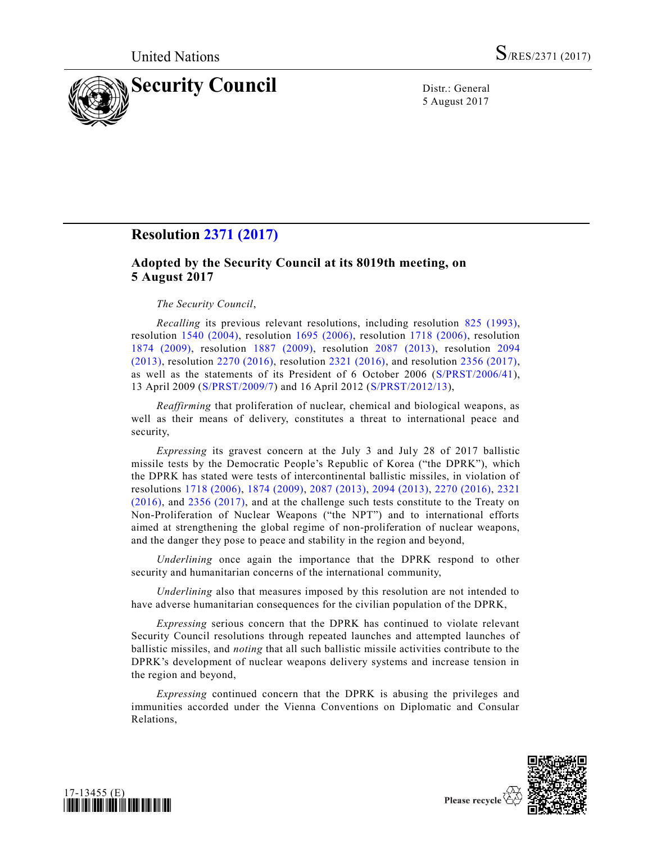

5 August 2017

# **Resolution [2371 \(2017\)](https://undocs.org/S/RES/2371(2017))**

## **Adopted by the Security Council at its 8019th meeting, on 5 August 2017**

### *The Security Council*,

*Recalling* its previous relevant resolutions, including resolution [825 \(1993\),](https://undocs.org/S/RES/825(1993)) resolution [1540 \(2004\),](https://undocs.org/S/RES/1540(2004)) resolution [1695 \(2006\),](https://undocs.org/S/RES/1695(2006)) resolution [1718 \(2006\),](https://undocs.org/S/RES/1718(2006)) resolution [1874 \(2009\),](https://undocs.org/S/RES/1874(2009)) resolution [1887 \(2009\),](https://undocs.org/S/RES/1887(2009)) resolution [2087 \(2013\),](https://undocs.org/S/RES/2087(2013)) resolution [2094](https://undocs.org/S/RES/2094(2013))  [\(2013\),](https://undocs.org/S/RES/2094(2013)) resolution [2270 \(2016\),](https://undocs.org/S/RES/2270(2016)) resolution [2321 \(2016\),](https://undocs.org/S/RES/2321(2016)) and resolution [2356 \(2017\),](https://undocs.org/S/RES/2356(2017)) as well as the statements of its President of 6 October 2006 [\(S/PRST/2006/41\)](https://undocs.org/S/PRST/2006/41), 13 April 2009 [\(S/PRST/2009/7\)](https://undocs.org/S/PRST/2009/7) and 16 April 2012 [\(S/PRST/2012/13\)](https://undocs.org/S/PRST/2012/13),

*Reaffirming* that proliferation of nuclear, chemical and biological weapons, as well as their means of delivery, constitutes a threat to international peace and security,

*Expressing* its gravest concern at the July 3 and July 28 of 2017 ballistic missile tests by the Democratic People's Republic of Korea ("the DPRK"), which the DPRK has stated were tests of intercontinental ballistic missiles, in violation of resolutions [1718 \(2006\),](https://undocs.org/S/RES/1718(2006)) [1874 \(2009\),](https://undocs.org/S/RES/1874(2009)) [2087 \(2013\),](https://undocs.org/S/RES/2087(2013)) [2094 \(2013\),](https://undocs.org/S/RES/2094(2013)) [2270 \(2016\),](https://undocs.org/S/RES/2270(2016)) [2321](https://undocs.org/S/RES/2321(2016))  [\(2016\),](https://undocs.org/S/RES/2321(2016)) and [2356 \(2017\),](https://undocs.org/S/RES/2356(2017)) and at the challenge such tests constitute to the Treaty on Non-Proliferation of Nuclear Weapons ("the NPT") and to international efforts aimed at strengthening the global regime of non-proliferation of nuclear weapons, and the danger they pose to peace and stability in the region and beyond,

*Underlining* once again the importance that the DPRK respond to other security and humanitarian concerns of the international community,

*Underlining* also that measures imposed by this resolution are not intended to have adverse humanitarian consequences for the civilian population of the DPRK,

*Expressing* serious concern that the DPRK has continued to violate relevant Security Council resolutions through repeated launches and attempted launches of ballistic missiles, and *noting* that all such ballistic missile activities contribute to the DPRK's development of nuclear weapons delivery systems and increase tension in the region and beyond,

*Expressing* continued concern that the DPRK is abusing the privileges and immunities accorded under the Vienna Conventions on Diplomatic and Consular Relations,





Please recycle  $\overline{\mathcal{C}}$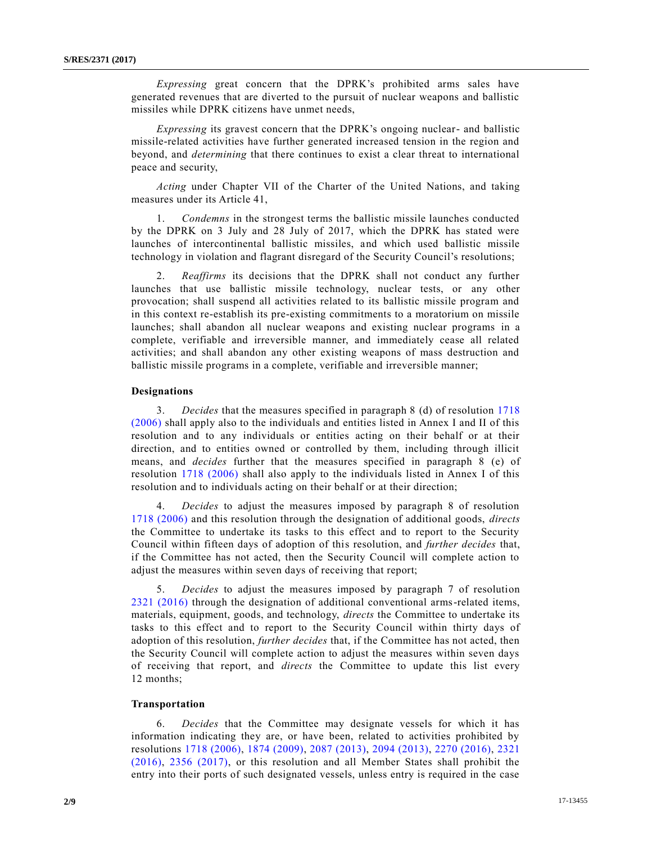*Expressing* great concern that the DPRK's prohibited arms sales have generated revenues that are diverted to the pursuit of nuclear weapons and ballistic missiles while DPRK citizens have unmet needs,

*Expressing* its gravest concern that the DPRK's ongoing nuclear- and ballistic missile-related activities have further generated increased tension in the region and beyond, and *determining* that there continues to exist a clear threat to international peace and security,

*Acting* under Chapter VII of the Charter of the United Nations, and taking measures under its Article 41,

1. *Condemns* in the strongest terms the ballistic missile launches conducted by the DPRK on 3 July and 28 July of 2017, which the DPRK has stated were launches of intercontinental ballistic missiles, and which used ballistic missile technology in violation and flagrant disregard of the Security Council's resolutions;

2. *Reaffirms* its decisions that the DPRK shall not conduct any further launches that use ballistic missile technology, nuclear tests, or any other provocation; shall suspend all activities related to its ballistic missile program and in this context re-establish its pre-existing commitments to a moratorium on missile launches; shall abandon all nuclear weapons and existing nuclear programs in a complete, verifiable and irreversible manner, and immediately cease all related activities; and shall abandon any other existing weapons of mass destruction and ballistic missile programs in a complete, verifiable and irreversible manner;

### **Designations**

3. *Decides* that the measures specified in paragraph 8 (d) of resolution [1718](https://undocs.org/S/RES/1718(2006))  [\(2006\)](https://undocs.org/S/RES/1718(2006)) shall apply also to the individuals and entities listed in Annex I and II of this resolution and to any individuals or entities acting on their behalf or at their direction, and to entities owned or controlled by them, including through illicit means, and *decides* further that the measures specified in paragraph 8 (e) of resolution [1718 \(2006\)](https://undocs.org/S/RES/1718(2006)) shall also apply to the individuals listed in Annex I of this resolution and to individuals acting on their behalf or at their direction;

4. *Decides* to adjust the measures imposed by paragraph 8 of resolution [1718 \(2006\)](https://undocs.org/S/RES/1718(2006)) and this resolution through the designation of additional goods, *directs* the Committee to undertake its tasks to this effect and to report to the Security Council within fifteen days of adoption of this resolution, and *further decides* that, if the Committee has not acted, then the Security Council will complete action to adjust the measures within seven days of receiving that report;

5. *Decides* to adjust the measures imposed by paragraph 7 of resolution [2321 \(2016\)](https://undocs.org/S/RES/2321(2016)) through the designation of additional conventional arms-related items, materials, equipment, goods, and technology, *directs* the Committee to undertake its tasks to this effect and to report to the Security Council within thirty days of adoption of this resolution, *further decides* that, if the Committee has not acted, then the Security Council will complete action to adjust the measures within seven days of receiving that report, and *directs* the Committee to update this list every 12 months;

### **Transportation**

6. *Decides* that the Committee may designate vessels for which it has information indicating they are, or have been, related to activities prohibited by resolutions [1718 \(2006\),](https://undocs.org/S/RES/1718(2006)) [1874 \(2009\),](https://undocs.org/S/RES/1874(2009)) [2087 \(2013\),](https://undocs.org/S/RES/2087(2013)) [2094 \(2013\),](https://undocs.org/S/RES/2094(2013)) [2270 \(2016\),](https://undocs.org/S/RES/2270(2016)) [2321](https://undocs.org/S/RES/2321(2016))  [\(2016\),](https://undocs.org/S/RES/2321(2016)) [2356 \(2017\),](https://undocs.org/S/RES/2356(2017)) or this resolution and all Member States shall prohibit the entry into their ports of such designated vessels, unless entry is required in the case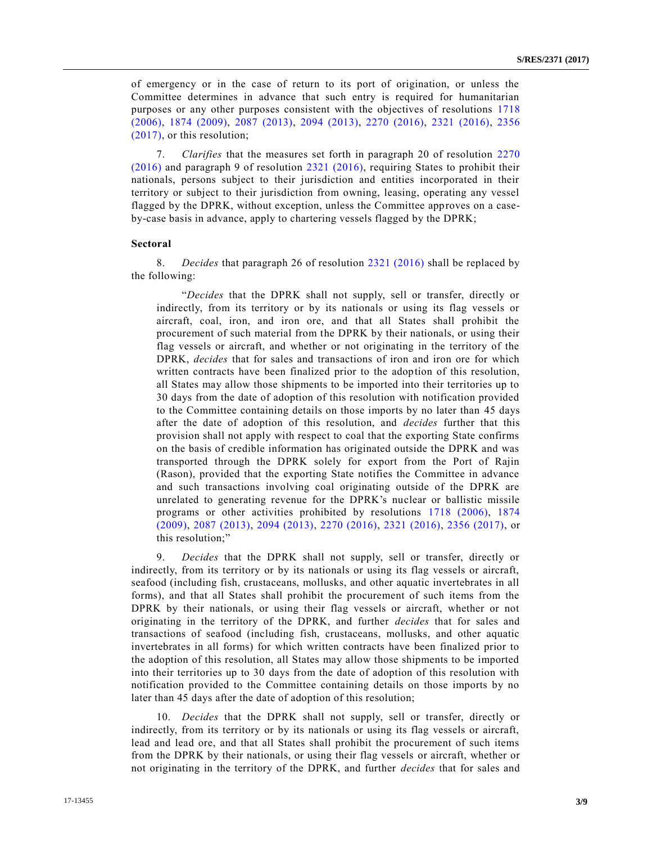of emergency or in the case of return to its port of origination, or unless the Committee determines in advance that such entry is required for humanitarian purposes or any other purposes consistent with the objectives of resolutions [1718](https://undocs.org/S/RES/1718(2006))  [\(2006\),](https://undocs.org/S/RES/1718(2006)) [1874 \(2009\),](https://undocs.org/S/RES/1874(2009)) [2087 \(2013\),](https://undocs.org/S/RES/2087(2013)) [2094 \(2013\),](https://undocs.org/S/RES/2094(2013)) [2270 \(2016\),](https://undocs.org/S/RES/2270(2016)) [2321 \(2016\),](https://undocs.org/S/RES/2321(2016)) [2356](https://undocs.org/S/RES/2356(2017))  [\(2017\),](https://undocs.org/S/RES/2356(2017)) or this resolution;

7. *Clarifies* that the measures set forth in paragraph 20 of resolution [2270](https://undocs.org/S/RES/2270(2016))  [\(2016\)](https://undocs.org/S/RES/2270(2016)) and paragraph 9 of resolution [2321 \(2016\),](https://undocs.org/S/RES/2321(2016)) requiring States to prohibit their nationals, persons subject to their jurisdiction and entities incorporated in their territory or subject to their jurisdiction from owning, leasing, operating any vessel flagged by the DPRK, without exception, unless the Committee approves on a caseby-case basis in advance, apply to chartering vessels flagged by the DPRK;

### **Sectoral**

8. *Decides* that paragraph 26 of resolution [2321 \(2016\)](https://undocs.org/S/RES/2321(2016)) shall be replaced by the following:

"*Decides* that the DPRK shall not supply, sell or transfer, directly or indirectly, from its territory or by its nationals or using its flag vessels or aircraft, coal, iron, and iron ore, and that all States shall prohibit the procurement of such material from the DPRK by their nationals, or using their flag vessels or aircraft, and whether or not originating in the territory of the DPRK, *decides* that for sales and transactions of iron and iron ore for which written contracts have been finalized prior to the adoption of this resolution, all States may allow those shipments to be imported into their territories up to 30 days from the date of adoption of this resolution with notification provided to the Committee containing details on those imports by no later than 45 days after the date of adoption of this resolution, and *decides* further that this provision shall not apply with respect to coal that the exporting State confirms on the basis of credible information has originated outside the DPRK and was transported through the DPRK solely for export from the Port of Rajin (Rason), provided that the exporting State notifies the Committee in advance and such transactions involving coal originating outside of the DPRK are unrelated to generating revenue for the DPRK's nuclear or ballistic missile programs or other activities prohibited by resolutions [1718 \(2006\),](https://undocs.org/S/RES/1718(2006)) [1874](https://undocs.org/S/RES/1874(2009))  [\(2009\),](https://undocs.org/S/RES/1874(2009)) [2087 \(2013\),](https://undocs.org/S/RES/2087(2013)) [2094 \(2013\),](https://undocs.org/S/RES/2094(2013)) [2270 \(2016\),](https://undocs.org/S/RES/2270(2016)) [2321 \(2016\),](https://undocs.org/S/RES/2321(2016)) [2356 \(2017\),](https://undocs.org/S/RES/2356(2017)) or this resolution;"

9. *Decides* that the DPRK shall not supply, sell or transfer, directly or indirectly, from its territory or by its nationals or using its flag vessels or aircraft, seafood (including fish, crustaceans, mollusks, and other aquatic invertebrates in all forms), and that all States shall prohibit the procurement of such items from the DPRK by their nationals, or using their flag vessels or aircraft, whether or not originating in the territory of the DPRK, and further *decides* that for sales and transactions of seafood (including fish, crustaceans, mollusks, and other aquatic invertebrates in all forms) for which written contracts have been finalized prior to the adoption of this resolution, all States may allow those shipments to be imported into their territories up to 30 days from the date of adoption of this resolution with notification provided to the Committee containing details on those imports by no later than 45 days after the date of adoption of this resolution;

10. *Decides* that the DPRK shall not supply, sell or transfer, directly or indirectly, from its territory or by its nationals or using its flag vessels or aircraft, lead and lead ore, and that all States shall prohibit the procurement of such items from the DPRK by their nationals, or using their flag vessels or aircraft, whether or not originating in the territory of the DPRK, and further *decides* that for sales and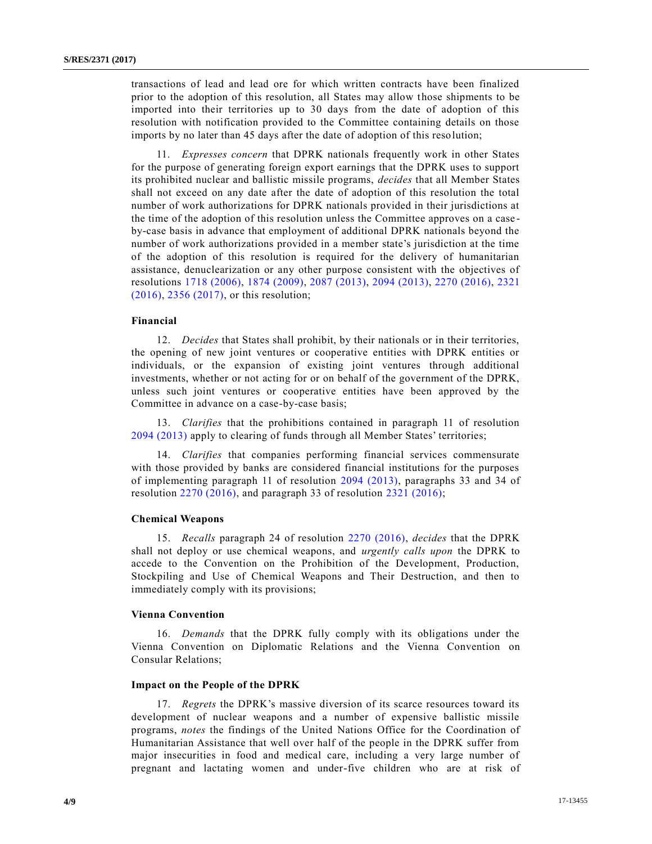transactions of lead and lead ore for which written contracts have been finalized prior to the adoption of this resolution, all States may allow those shipments to be imported into their territories up to 30 days from the date of adoption of this resolution with notification provided to the Committee containing details on those imports by no later than 45 days after the date of adoption of this reso lution;

11. *Expresses concern* that DPRK nationals frequently work in other States for the purpose of generating foreign export earnings that the DPRK uses to support its prohibited nuclear and ballistic missile programs, *decides* that all Member States shall not exceed on any date after the date of adoption of this resolution the total number of work authorizations for DPRK nationals provided in their jurisdictions at the time of the adoption of this resolution unless the Committee approves on a case by-case basis in advance that employment of additional DPRK nationals beyond the number of work authorizations provided in a member state's jurisdiction at the time of the adoption of this resolution is required for the delivery of humanitarian assistance, denuclearization or any other purpose consistent with the objectives of resolutions [1718 \(2006\),](https://undocs.org/S/RES/1718(2006)) [1874 \(2009\),](https://undocs.org/S/RES/1874(2009)) [2087 \(2013\),](https://undocs.org/S/RES/2087(2013)) [2094 \(2013\),](https://undocs.org/S/RES/2094(2013)) [2270 \(2016\),](https://undocs.org/S/RES/2270(2016)) [2321](https://undocs.org/S/RES/2321(2016))  [\(2016\),](https://undocs.org/S/RES/2321(2016)) [2356 \(2017\),](https://undocs.org/S/RES/2356(2017)) or this resolution;

### **Financial**

12. *Decides* that States shall prohibit, by their nationals or in their territories, the opening of new joint ventures or cooperative entities with DPRK entities or individuals, or the expansion of existing joint ventures through additional investments, whether or not acting for or on behalf of the government of the DPRK, unless such joint ventures or cooperative entities have been approved by the Committee in advance on a case-by-case basis;

13. *Clarifies* that the prohibitions contained in paragraph 11 of resolution [2094 \(2013\)](https://undocs.org/S/RES/2094(2013)) apply to clearing of funds through all Member States' territories;

14. *Clarifies* that companies performing financial services commensurate with those provided by banks are considered financial institutions for the purposes of implementing paragraph 11 of resolution [2094 \(2013\),](https://undocs.org/S/RES/2094(2013)) paragraphs 33 and 34 of resolution  $2270(2016)$ , and paragraph 33 of resolution  $2321(2016)$ ;

#### **Chemical Weapons**

15. *Recalls* paragraph 24 of resolution [2270 \(2016\),](https://undocs.org/S/RES/2270(2016)) *decides* that the DPRK shall not deploy or use chemical weapons, and *urgently calls upon* the DPRK to accede to the Convention on the Prohibition of the Development, Production, Stockpiling and Use of Chemical Weapons and Their Destruction, and then to immediately comply with its provisions;

### **Vienna Convention**

16. *Demands* that the DPRK fully comply with its obligations under the Vienna Convention on Diplomatic Relations and the Vienna Convention on Consular Relations;

### **Impact on the People of the DPRK**

17. *Regrets* the DPRK's massive diversion of its scarce resources toward its development of nuclear weapons and a number of expensive ballistic missile programs, *notes* the findings of the United Nations Office for the Coordination of Humanitarian Assistance that well over half of the people in the DPRK suffer from major insecurities in food and medical care, including a very large number of pregnant and lactating women and under-five children who are at risk of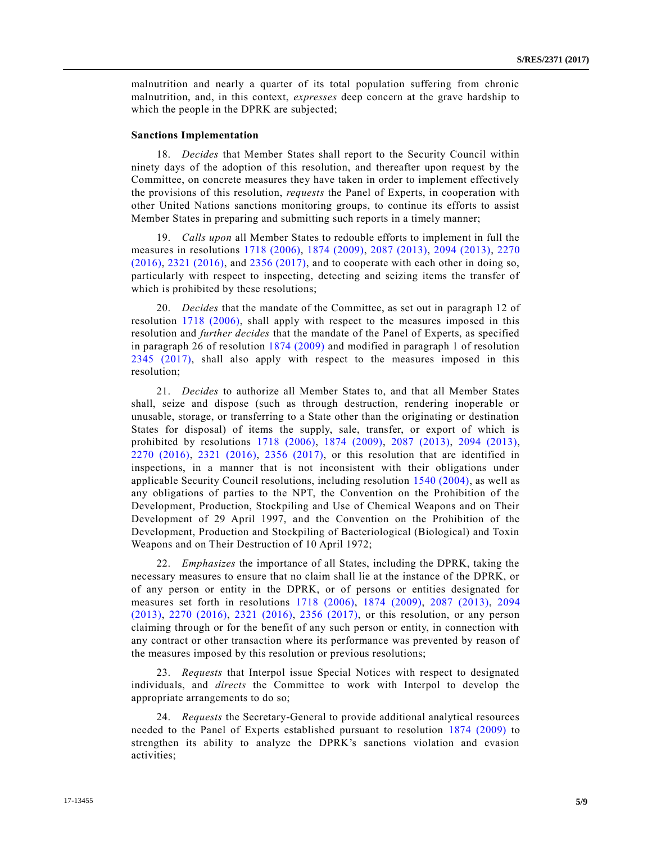malnutrition and nearly a quarter of its total population suffering from chronic malnutrition, and, in this context, *expresses* deep concern at the grave hardship to which the people in the DPRK are subjected;

### **Sanctions Implementation**

18. *Decides* that Member States shall report to the Security Council within ninety days of the adoption of this resolution, and thereafter upon request by the Committee, on concrete measures they have taken in order to implement effectively the provisions of this resolution, *requests* the Panel of Experts, in cooperation with other United Nations sanctions monitoring groups, to continue its efforts to assist Member States in preparing and submitting such reports in a timely manner;

19. *Calls upon* all Member States to redouble efforts to implement in full the measures in resolutions [1718 \(2006\),](https://undocs.org/S/RES/1718(2006)) [1874 \(2009\),](https://undocs.org/S/RES/1874(2009)) [2087 \(2013\),](https://undocs.org/S/RES/2087(2013)) [2094 \(2013\),](https://undocs.org/S/RES/2094(2013)) [2270](https://undocs.org/S/RES/2270(2016))  [\(2016\),](https://undocs.org/S/RES/2270(2016)) [2321 \(2016\),](https://undocs.org/S/RES/2321(2016)) and [2356 \(2017\),](https://undocs.org/S/RES/2356(2017)) and to cooperate with each other in doing so, particularly with respect to inspecting, detecting and seizing items the transfer of which is prohibited by these resolutions;

20. *Decides* that the mandate of the Committee, as set out in paragraph 12 of resolution [1718 \(2006\),](https://undocs.org/S/RES/1718(2006)) shall apply with respect to the measures imposed in this resolution and *further decides* that the mandate of the Panel of Experts, as specified in paragraph 26 of resolution [1874 \(2009\)](https://undocs.org/S/RES/1874(2009)) and modified in paragraph 1 of resolution [2345 \(2017\),](https://undocs.org/S/RES/2345(2017)) shall also apply with respect to the measures imposed in this resolution;

21. *Decides* to authorize all Member States to, and that all Member States shall, seize and dispose (such as through destruction, rendering inoperable or unusable, storage, or transferring to a State other than the originating or destination States for disposal) of items the supply, sale, transfer, or export of which is prohibited by resolutions [1718 \(2006\),](https://undocs.org/S/RES/1718(2006)) [1874 \(2009\),](https://undocs.org/S/RES/1874(2009)) [2087 \(2013\),](https://undocs.org/S/RES/2087(2013)) [2094 \(2013\),](https://undocs.org/S/RES/2094(2013)) [2270 \(2016\),](https://undocs.org/S/RES/2270(2016)) [2321 \(2016\),](https://undocs.org/S/RES/2321(2016)) [2356 \(2017\),](https://undocs.org/S/RES/2356(2017)) or this resolution that are identified in inspections, in a manner that is not inconsistent with their obligations under applicable Security Council resolutions, including resolution [1540 \(2004\),](https://undocs.org/S/RES/1540(2004)) as well as any obligations of parties to the NPT, the Convention on the Prohibition of the Development, Production, Stockpiling and Use of Chemical Weapons and on Their Development of 29 April 1997, and the Convention on the Prohibition of the Development, Production and Stockpiling of Bacteriological (Biological) and Toxin Weapons and on Their Destruction of 10 April 1972;

22. *Emphasizes* the importance of all States, including the DPRK, taking the necessary measures to ensure that no claim shall lie at the instance of the DPRK, or of any person or entity in the DPRK, or of persons or entities designated for measures set forth in resolutions [1718 \(2006\),](https://undocs.org/S/RES/1718(2006)) [1874 \(2009\),](https://undocs.org/S/RES/1874(2009)) [2087 \(2013\),](https://undocs.org/S/RES/2087(2013)) [2094](https://undocs.org/S/RES/2094(2013))  [\(2013\),](https://undocs.org/S/RES/2094(2013)) [2270 \(2016\),](https://undocs.org/S/RES/2270(2016)) [2321 \(2016\),](https://undocs.org/S/RES/2321(2016)) [2356 \(2017\),](https://undocs.org/S/RES/2356(2017)) or this resolution, or any person claiming through or for the benefit of any such person or entity, in connection with any contract or other transaction where its performance was prevented by reason of the measures imposed by this resolution or previous resolutions;

23. *Requests* that Interpol issue Special Notices with respect to designated individuals, and *directs* the Committee to work with Interpol to develop the appropriate arrangements to do so;

24. *Requests* the Secretary-General to provide additional analytical resources needed to the Panel of Experts established pursuant to resolution [1874 \(2009\)](https://undocs.org/S/RES/1874(2009)) to strengthen its ability to analyze the DPRK's sanctions violation and evasion activities;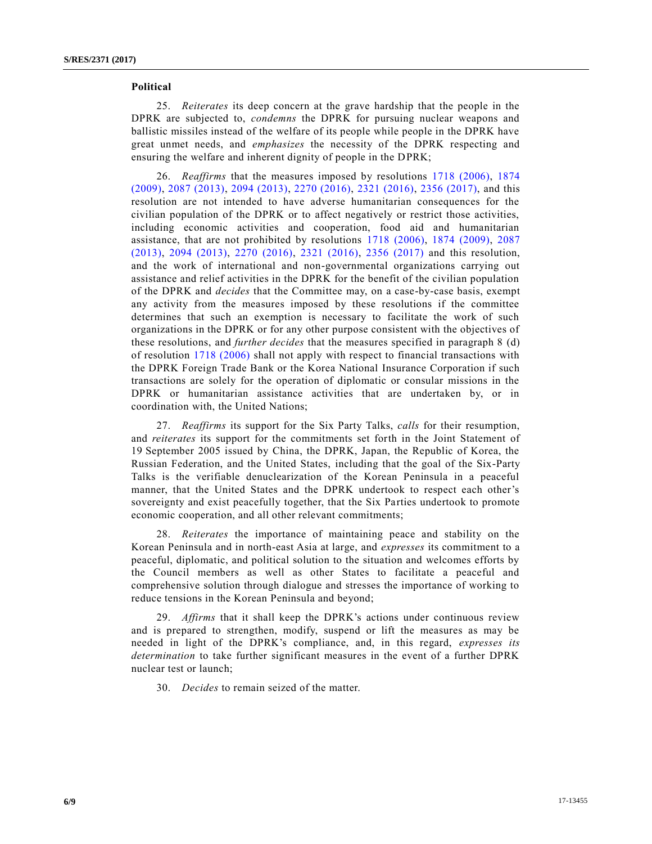### **Political**

25. *Reiterates* its deep concern at the grave hardship that the people in the DPRK are subjected to, *condemns* the DPRK for pursuing nuclear weapons and ballistic missiles instead of the welfare of its people while people in the DPRK have great unmet needs, and *emphasizes* the necessity of the DPRK respecting and ensuring the welfare and inherent dignity of people in the DPRK;

26. *Reaffirms* that the measures imposed by resolutions [1718 \(2006\),](https://undocs.org/S/RES/1718(2006)) [1874](https://undocs.org/S/RES/1874(2009))  [\(2009\),](https://undocs.org/S/RES/1874(2009)) [2087 \(2013\),](https://undocs.org/S/RES/2087(2013)) [2094 \(2013\),](https://undocs.org/S/RES/2094(2013)) [2270 \(2016\),](https://undocs.org/S/RES/2270(2016)) [2321 \(2016\),](https://undocs.org/S/RES/2321(2016)) [2356 \(2017\),](https://undocs.org/S/RES/2356(2017)) and this resolution are not intended to have adverse humanitarian consequences for the civilian population of the DPRK or to affect negatively or restrict those activities, including economic activities and cooperation, food aid and humanitarian assistance, that are not prohibited by resolutions [1718 \(2006\),](https://undocs.org/S/RES/1718(2006)) [1874 \(2009\),](https://undocs.org/S/RES/1874(2009)) [2087](https://undocs.org/S/RES/2087(2013))  [\(2013\),](https://undocs.org/S/RES/2087(2013)) [2094 \(2013\),](https://undocs.org/S/RES/2094(2013)) [2270 \(2016\),](https://undocs.org/S/RES/2270(2016)) [2321 \(2016\),](https://undocs.org/S/RES/2321(2016)) [2356 \(2017\)](https://undocs.org/S/RES/2356(2017)) and this resolution, and the work of international and non-governmental organizations carrying out assistance and relief activities in the DPRK for the benefit of the civilian population of the DPRK and *decides* that the Committee may, on a case-by-case basis, exempt any activity from the measures imposed by these resolutions if the committee determines that such an exemption is necessary to facilitate the work of such organizations in the DPRK or for any other purpose consistent with the objectives of these resolutions, and *further decides* that the measures specified in paragraph 8 (d) of resolution [1718 \(2006\)](https://undocs.org/S/RES/1718(2006)) shall not apply with respect to financial transactions with the DPRK Foreign Trade Bank or the Korea National Insurance Corporation if such transactions are solely for the operation of diplomatic or consular missions in the DPRK or humanitarian assistance activities that are undertaken by, or in coordination with, the United Nations;

27. *Reaffirms* its support for the Six Party Talks, *calls* for their resumption, and *reiterates* its support for the commitments set forth in the Joint Statement of 19 September 2005 issued by China, the DPRK, Japan, the Republic of Korea, the Russian Federation, and the United States, including that the goal of the Six-Party Talks is the verifiable denuclearization of the Korean Peninsula in a peaceful manner, that the United States and the DPRK undertook to respect each other's sovereignty and exist peacefully together, that the Six Parties undertook to promote economic cooperation, and all other relevant commitments;

28. *Reiterates* the importance of maintaining peace and stability on the Korean Peninsula and in north-east Asia at large, and *expresses* its commitment to a peaceful, diplomatic, and political solution to the situation and welcomes efforts by the Council members as well as other States to facilitate a peaceful and comprehensive solution through dialogue and stresses the importance of working to reduce tensions in the Korean Peninsula and beyond;

29. *Affirms* that it shall keep the DPRK's actions under continuous review and is prepared to strengthen, modify, suspend or lift the measures as may be needed in light of the DPRK's compliance, and, in this regard, *expresses its determination* to take further significant measures in the event of a further DPRK nuclear test or launch;

30. *Decides* to remain seized of the matter.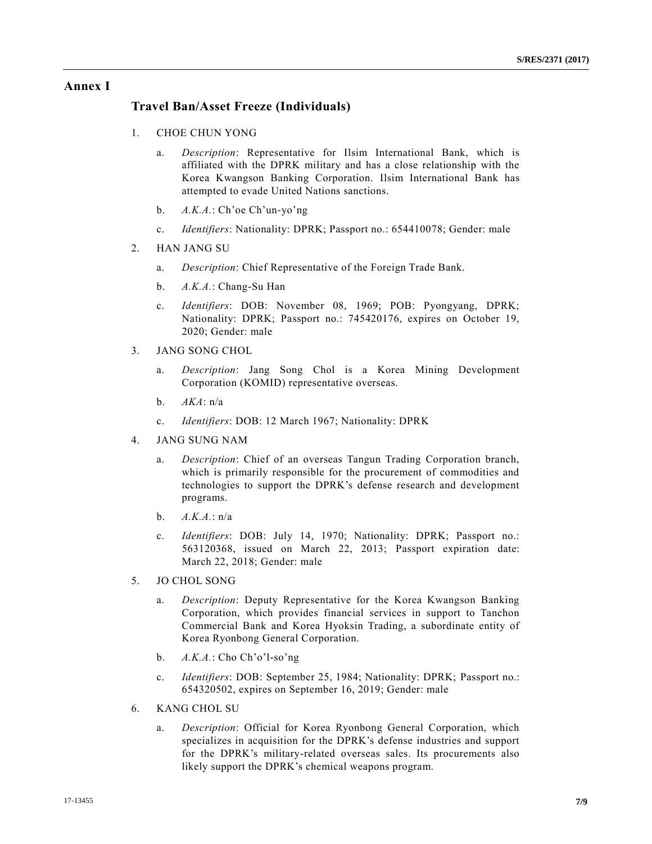## **Annex I**

## **Travel Ban/Asset Freeze (Individuals)**

- 1. CHOE CHUN YONG
	- a. *Description*: Representative for Ilsim International Bank, which is affiliated with the DPRK military and has a close relationship with the Korea Kwangson Banking Corporation. Ilsim International Bank has attempted to evade United Nations sanctions.
	- b. *A.K.A.*: Ch'oe Ch'un-yo'ng
	- c. *Identifiers*: Nationality: DPRK; Passport no.: 654410078; Gender: male
- 2. HAN JANG SU
	- a. *Description*: Chief Representative of the Foreign Trade Bank.
	- b. *A.K.A.*: Chang-Su Han
	- c. *Identifiers*: DOB: November 08, 1969; POB: Pyongyang, DPRK; Nationality: DPRK; Passport no.: 745420176, expires on October 19, 2020; Gender: male
- 3. JANG SONG CHOL
	- a. *Description*: Jang Song Chol is a Korea Mining Development Corporation (KOMID) representative overseas.
	- b. *AKA*: n/a
	- c. *Identifiers*: DOB: 12 March 1967; Nationality: DPRK
- 4. JANG SUNG NAM
	- a. *Description*: Chief of an overseas Tangun Trading Corporation branch, which is primarily responsible for the procurement of commodities and technologies to support the DPRK's defense research and development programs.
	- b. *A.K.A.*: n/a
	- c. *Identifiers*: DOB: July 14, 1970; Nationality: DPRK; Passport no.: 563120368, issued on March 22, 2013; Passport expiration date: March 22, 2018; Gender: male
- 5. JO CHOL SONG
	- a. *Description*: Deputy Representative for the Korea Kwangson Banking Corporation, which provides financial services in support to Tanchon Commercial Bank and Korea Hyoksin Trading, a subordinate entity of Korea Ryonbong General Corporation.
	- b. *A.K.A.*: Cho Ch'o'l-so'ng
	- c. *Identifiers*: DOB: September 25, 1984; Nationality: DPRK; Passport no.: 654320502, expires on September 16, 2019; Gender: male
- 6. KANG CHOL SU
	- a. *Description*: Official for Korea Ryonbong General Corporation, which specializes in acquisition for the DPRK's defense industries and support for the DPRK's military-related overseas sales. Its procurements also likely support the DPRK's chemical weapons program.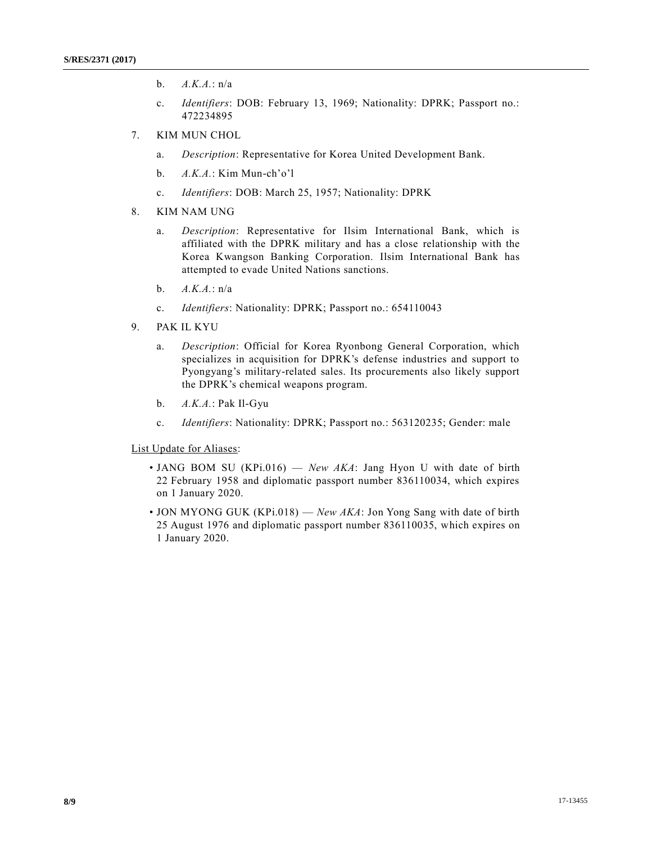- b. *A.K.A.*: n/a
- c. *Identifiers*: DOB: February 13, 1969; Nationality: DPRK; Passport no.: 472234895
- 7. KIM MUN CHOL
	- a. *Description*: Representative for Korea United Development Bank.
	- b. *A.K.A.*: Kim Mun-ch'o'l
	- c. *Identifiers*: DOB: March 25, 1957; Nationality: DPRK
- 8. KIM NAM UNG
	- a. *Description*: Representative for Ilsim International Bank, which is affiliated with the DPRK military and has a close relationship with the Korea Kwangson Banking Corporation. Ilsim International Bank has attempted to evade United Nations sanctions.
	- b. *A.K.A.*: n/a
	- c. *Identifiers*: Nationality: DPRK; Passport no.: 654110043
- 9. PAK IL KYU
	- a. *Description*: Official for Korea Ryonbong General Corporation, which specializes in acquisition for DPRK's defense industries and support to Pyongyang's military-related sales. Its procurements also likely support the DPRK's chemical weapons program.
	- b. *A.K.A.*: Pak Il-Gyu
	- c. *Identifiers*: Nationality: DPRK; Passport no.: 563120235; Gender: male

List Update for Aliases:

- JANG BOM SU (KPi.016) *New AKA*: Jang Hyon U with date of birth 22 February 1958 and diplomatic passport number 836110034, which expires on 1 January 2020.
- JON MYONG GUK (KPi.018) *New AKA*: Jon Yong Sang with date of birth 25 August 1976 and diplomatic passport number 836110035, which expires on 1 January 2020.